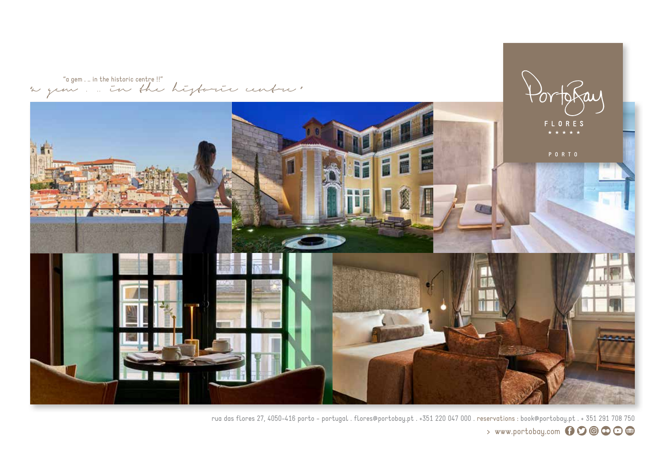"a gem . .. in the historic centre !!" "a gem . .. in the historic centre "



rua das flores 27, 4050-416 porto - portugal . flores@portobay.pt . +351 220 047 000 . reservations : book@portobay.pt . + 351 291 708 750 > www.portobay.com 600000